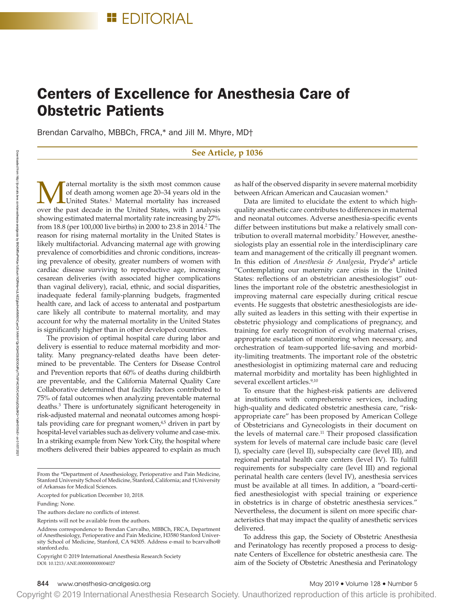# Centers of Excellence for Anesthesia Care of Obstetric Patients

Brendan Carvalho, MBBCh, FRCA,\* and Jill M. Mhyre, MD†

## **See Article, p 1036**

Maternal mortality is the sixth most common cause<br>of death among women age 20–34 years old in the<br>United States.<sup>1</sup> Maternal mortality has increased<br>over the past decade in the United States, with 1 analysis of death among women age 20–34 years old in the United States.<sup>1</sup> Maternal mortality has increased over the past decade in the United States, with 1 analysis showing estimated maternal mortality rate increasing by 27% from 18.8 (per 100,000 live births) in 2000 to 23.8 in 2014.2 The reason for rising maternal mortality in the United States is likely multifactorial. Advancing maternal age with growing prevalence of comorbidities and chronic conditions, increasing prevalence of obesity, greater numbers of women with cardiac disease surviving to reproductive age, increasing cesarean deliveries (with associated higher complications than vaginal delivery), racial, ethnic, and social disparities, inadequate federal family-planning budgets, fragmented health care, and lack of access to antenatal and postpartum care likely all contribute to maternal mortality, and may account for why the maternal mortality in the United States is significantly higher than in other developed countries.

The provision of optimal hospital care during labor and delivery is essential to reduce maternal morbidity and mortality. Many pregnancy-related deaths have been determined to be preventable. The Centers for Disease Control and Prevention reports that 60% of deaths during childbirth are preventable, and the California Maternal Quality Care Collaborative determined that facility factors contributed to 75% of fatal outcomes when analyzing preventable maternal deaths.3 There is unfortunately significant heterogeneity in risk-adjusted maternal and neonatal outcomes among hospitals providing care for pregnant women,<sup>4,5</sup> driven in part by hospital-level variables such as delivery volume and case-mix. In a striking example from New York City, the hospital where mothers delivered their babies appeared to explain as much

From the \*Department of Anesthesiology, Perioperative and Pain Medicine, Stanford University School of Medicine, Stanford, California; and †University of Arkansas for Medical Sciences.

Accepted for publication December 10, 2018.

Funding: None.

The authors declare no conflicts of interest.

Reprints will not be available from the authors.

DOI: 10.1213/ANE.0000000000004027 Copyright © 2019 International Anesthesia Research Society

as half of the observed disparity in severe maternal morbidity between African American and Caucasian women.<sup>6</sup>

Data are limited to elucidate the extent to which highquality anesthetic care contributes to differences in maternal and neonatal outcomes. Adverse anesthesia-specific events differ between institutions but make a relatively small contribution to overall maternal morbidity.<sup>7</sup> However, anesthesiologists play an essential role in the interdisciplinary care team and management of the critically ill pregnant women. In this edition of *Anesthesia & Analgesia*, Pryde's<sup>8</sup> article "Contemplating our maternity care crisis in the United States: reflections of an obstetrician anesthesiologist" outlines the important role of the obstetric anesthesiologist in improving maternal care especially during critical rescue events. He suggests that obstetric anesthesiologists are ideally suited as leaders in this setting with their expertise in obstetric physiology and complications of pregnancy, and training for early recognition of evolving maternal crises, appropriate escalation of monitoring when necessary, and orchestration of team-supported life-saving and morbidity-limiting treatments. The important role of the obstetric anesthesiologist in optimizing maternal care and reducing maternal morbidity and mortality has been highlighted in several excellent articles.<sup>9,10</sup>

To ensure that the highest-risk patients are delivered at institutions with comprehensive services, including high-quality and dedicated obstetric anesthesia care, "riskappropriate care" has been proposed by American College of Obstetricians and Gynecologists in their document on the levels of maternal care.<sup>11</sup> Their proposed classification system for levels of maternal care include basic care (level I), specialty care (level II), subspecialty care (level III), and regional perinatal health care centers (level IV). To fulfill requirements for subspecialty care (level III) and regional perinatal health care centers (level IV), anesthesia services must be available at all times. In addition, a "board-certified anesthesiologist with special training or experience in obstetrics is in charge of obstetric anesthesia services." Nevertheless, the document is silent on more specific characteristics that may impact the quality of anesthetic services delivered.

To address this gap, the Society of Obstetric Anesthesia and Perinatology has recently proposed a process to designate Centers of Excellence for obstetric anesthesia care. The aim of the Society of Obstetric Anesthesia and Perinatology

Address correspondence to Brendan Carvalho, MBBCh, FRCA, Department of Anesthesiology, Perioperative and Pain Medicine, H3580 Stanford University School of Medicine, Stanford, CA 94305. Address e-mail to [bcarvalho@](mailto:bcarvalho@stanford.edu) [stanford.edu](mailto:bcarvalho@stanford.edu).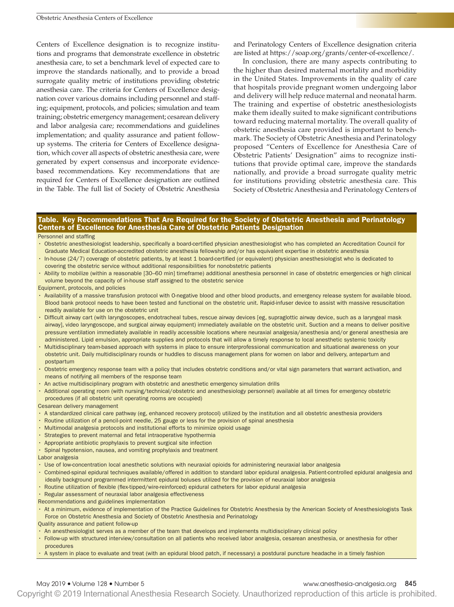Centers of Excellence designation is to recognize institutions and programs that demonstrate excellence in obstetric anesthesia care, to set a benchmark level of expected care to improve the standards nationally, and to provide a broad surrogate quality metric of institutions providing obstetric anesthesia care. The criteria for Centers of Excellence designation cover various domains including personnel and staffing; equipment, protocols, and policies; simulation and team training; obstetric emergency management; cesarean delivery and labor analgesia care; recommendations and guidelines implementation; and quality assurance and patient followup systems. The criteria for Centers of Excellence designation, which cover all aspects of obstetric anesthesia care, were generated by expert consensus and incorporate evidencebased recommendations. Key recommendations that are required for Centers of Excellence designation are outlined in the Table. The full list of Society of Obstetric Anesthesia

and Perinatology Centers of Excellence designation criteria are listed at<https://soap.org/grants/center-of-excellence/>.

In conclusion, there are many aspects contributing to the higher than desired maternal mortality and morbidity in the United States. Improvements in the quality of care that hospitals provide pregnant women undergoing labor and delivery will help reduce maternal and neonatal harm. The training and expertise of obstetric anesthesiologists make them ideally suited to make significant contributions toward reducing maternal mortality. The overall quality of obstetric anesthesia care provided is important to benchmark. The Society of Obstetric Anesthesia and Perinatology proposed "Centers of Excellence for Anesthesia Care of Obstetric Patients' Designation" aims to recognize institutions that provide optimal care, improve the standards nationally, and provide a broad surrogate quality metric for institutions providing obstetric anesthesia care. This Society of Obstetric Anesthesia and Perinatology Centers of

### Table. Key Recommendations That Are Required for the Society of Obstetric Anesthesia and Perinatology Centers of Excellence for Anesthesia Care of Obstetric Patients Designation

Personnel and staffing

- Obstetric anesthesiologist leadership, specifically a board-certified physician anesthesiologist who has completed an Accreditation Council for Graduate Medical Education-accredited obstetric anesthesia fellowship and/or has equivalent expertise in obstetric anesthesia
- In-house (24/7) coverage of obstetric patients, by at least 1 board-certified (or equivalent) physician anesthesiologist who is dedicated to covering the obstetric service without additional responsibilities for nonobstetric patients
- Ability to mobilize (within a reasonable [30–60 min] timeframe) additional anesthesia personnel in case of obstetric emergencies or high clinical volume beyond the capacity of in-house staff assigned to the obstetric service

Equipment, protocols, and policies

- Availability of a massive transfusion protocol with O-negative blood and other blood products, and emergency release system for available blood. Blood bank protocol needs to have been tested and functional on the obstetric unit. Rapid-infuser device to assist with massive resuscitation readily available for use on the obstetric unit
- Difficult airway cart (with laryngoscopes, endotracheal tubes, rescue airway devices [eg, supraglottic airway device, such as a laryngeal mask airway], video laryngoscope, and surgical airway equipment) immediately available on the obstetric unit. Suction and a means to deliver positive pressure ventilation immediately available in readily accessible locations where neuraxial analgesia/anesthesia and/or general anesthesia are administered. Lipid emulsion, appropriate supplies and protocols that will allow a timely response to local anesthetic systemic toxicity
- Multidisciplinary team-based approach with systems in place to ensure interprofessional communication and situational awareness on your obstetric unit. Daily multidisciplinary rounds or huddles to discuss management plans for women on labor and delivery, antepartum and postpartum
- Obstetric emergency response team with a policy that includes obstetric conditions and/or vital sign parameters that warrant activation, and means of notifying all members of the response team
- An active multidisciplinary program with obstetric and anesthetic emergency simulation drills
- Additional operating room (with nursing/technical/obstetric and anesthesiology personnel) available at all times for emergency obstetric procedures (if all obstetric unit operating rooms are occupied)

Cesarean delivery management

- A standardized clinical care pathway (eg, enhanced recovery protocol) utilized by the institution and all obstetric anesthesia providers
- Routine utilization of a pencil-point needle, 25 gauge or less for the provision of spinal anesthesia
- Multimodal analgesia protocols and institutional efforts to minimize opioid usage
- Strategies to prevent maternal and fetal intraoperative hypothermia
- Appropriate antibiotic prophylaxis to prevent surgical site infection
- Spinal hypotension, nausea, and vomiting prophylaxis and treatment

Labor analgesia

- Use of low-concentration local anesthetic solutions with neuraxial opioids for administering neuraxial labor analgesia
- Combined-spinal epidural techniques available/offered in addition to standard labor epidural analgesia. Patient-controlled epidural analgesia and ideally background programmed intermittent epidural boluses utilized for the provision of neuraxial labor analgesia
- Routine utilization of flexible (flex-tipped/wire-reinforced) epidural catheters for labor epidural analgesia
- Regular assessment of neuraxial labor analgesia effectiveness
- Recommendations and guidelines implementation
- At a minimum, evidence of implementation of the Practice Guidelines for Obstetric Anesthesia by the American Society of Anesthesiologists Task Force on Obstetric Anesthesia and Society of Obstetric Anesthesia and Perinatology

Quality assurance and patient follow-up

- An anesthesiologist serves as a member of the team that develops and implements multidisciplinary clinical policy
- Follow-up with structured interview/consultation on all patients who received labor analgesia, cesarean anesthesia, or anesthesia for other procedures
- A system in place to evaluate and treat (with an epidural blood patch, if necessary) a postdural puncture headache in a timely fashion